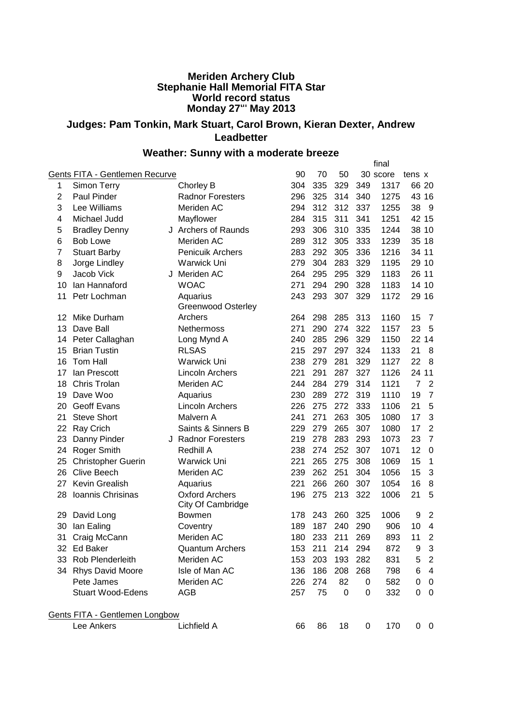## **Meriden Archery Club Stephanie Hall Memorial FITA Star World record status Monday 27th May 2013**

## **Judges: Pam Tonkin, Mark Stuart, Carol Brown, Kieran Dexter, Andrew Leadbetter**

## **Weather: Sunny with a moderate breeze**

|                |                                |                                            |     |         |     |     | final    |                |                |
|----------------|--------------------------------|--------------------------------------------|-----|---------|-----|-----|----------|----------------|----------------|
|                | Gents FITA - Gentlemen Recurve |                                            | 90  | 70      | 50  |     | 30 score | tens x         |                |
| 1              | Simon Terry                    | Chorley B                                  | 304 | 335     | 329 | 349 | 1317     | 66 20          |                |
| $\overline{2}$ | <b>Paul Pinder</b>             | <b>Radnor Foresters</b>                    | 296 | 325     | 314 | 340 | 1275     |                | 43 16          |
| 3              | Lee Williams                   | Meriden AC                                 | 294 | 312     | 312 | 337 | 1255     | 38             | 9              |
| 4              | Michael Judd                   | Mayflower                                  | 284 | 315     | 311 | 341 | 1251     | 42 15          |                |
| 5              | <b>Bradley Denny</b>           | J Archers of Raunds                        | 293 | 306     | 310 | 335 | 1244     |                | 38 10          |
| 6              | <b>Bob Lowe</b>                | Meriden AC                                 | 289 | 312     | 305 | 333 | 1239     | 35 18          |                |
| $\overline{7}$ | <b>Stuart Barby</b>            | <b>Penicuik Archers</b>                    | 283 | 292     | 305 | 336 | 1216     | 34 11          |                |
| 8              | Jorge Lindley                  | Warwick Uni                                | 279 | 304     | 283 | 329 | 1195     |                | 29 10          |
| 9              | Jacob Vick                     | J Meriden AC                               | 264 | 295     | 295 | 329 | 1183     | 26 11          |                |
| 10             | Ian Hannaford                  | <b>WOAC</b>                                | 271 | 294     | 290 | 328 | 1183     |                | 14 10          |
| 11             | Petr Lochman                   | Aquarius<br><b>Greenwood Osterley</b>      | 243 | 293     | 307 | 329 | 1172     |                | 29 16          |
| 12             | Mike Durham                    | Archers                                    | 264 | 298     | 285 | 313 | 1160     | 15             | 7              |
| 13             | Dave Ball                      | <b>Nethermoss</b>                          | 271 | 290     | 274 | 322 | 1157     | 23             | 5              |
| 14             | Peter Callaghan                | Long Mynd A                                | 240 | 285     | 296 | 329 | 1150     | 22             | 14             |
| 15             | <b>Brian Tustin</b>            | <b>RLSAS</b>                               | 215 | 297     | 297 | 324 | 1133     | 21             | 8              |
| 16             | Tom Hall                       | <b>Warwick Uni</b>                         | 238 | 279     | 281 | 329 | 1127     | 22             | 8              |
| 17             | lan Prescott                   | <b>Lincoln Archers</b>                     | 221 | 291     | 287 | 327 | 1126     | 24             | 11             |
| 18             | Chris Trolan                   | Meriden AC                                 | 244 | 284     | 279 | 314 | 1121     | $\overline{7}$ | $\overline{2}$ |
| 19             | Dave Woo                       | Aquarius                                   | 230 | 289     | 272 | 319 | 1110     | 19             | $\overline{7}$ |
| 20             | <b>Geoff Evans</b>             | <b>Lincoln Archers</b>                     | 226 | 275     | 272 | 333 | 1106     | 21             | 5              |
| 21             | <b>Steve Short</b>             | Malvern A                                  | 241 | 271     | 263 | 305 | 1080     | 17             | 3              |
| 22             | Ray Crich                      | Saints & Sinners B                         | 229 | 279     | 265 | 307 | 1080     | 17             | $\overline{2}$ |
| 23             | Danny Pinder                   | J Radnor Foresters                         | 219 | 278     | 283 | 293 | 1073     | 23             | $\overline{7}$ |
| 24             | <b>Roger Smith</b>             | Redhill A                                  | 238 | 274     | 252 | 307 | 1071     | 12             | $\mathbf 0$    |
| 25             | <b>Christopher Guerin</b>      | Warwick Uni                                | 221 | 265     | 275 | 308 | 1069     | 15             | 1              |
| 26             | <b>Clive Beech</b>             | Meriden AC                                 | 239 | 262     | 251 | 304 | 1056     | 15             | 3              |
| 27             | <b>Kevin Grealish</b>          | Aquarius                                   | 221 | 266     | 260 | 307 | 1054     | 16             | 8              |
| 28             | Ioannis Chrisinas              | <b>Oxford Archers</b><br>City Of Cambridge | 196 | 275     | 213 | 322 | 1006     | 21             | 5              |
| 29             | David Long                     | <b>Bowmen</b>                              | 178 | 243     | 260 | 325 | 1006     | 9              | $\overline{2}$ |
| 30             | lan Ealing                     | Coventry                                   | 189 | 187     | 240 | 290 | 906      | 10             | 4              |
| 31             | Craig McCann                   | Meriden AC                                 | 180 | 233     | 211 | 269 | 893      | 11             | $\overline{2}$ |
|                | 32 Ed Baker                    | <b>Quantum Archers</b>                     |     | 153 211 | 214 | 294 | 872      | 9              | 3              |
|                | 33 Rob Plenderleith            | Meriden AC                                 | 153 | 203     | 193 | 282 | 831      | 5              | $\overline{c}$ |
|                | 34 Rhys David Moore            | Isle of Man AC                             | 136 | 186     | 208 | 268 | 798      | 6              | 4              |
|                | Pete James                     | Meriden AC                                 | 226 | 274     | 82  | 0   | 582      | 0              | $\overline{0}$ |
|                | <b>Stuart Wood-Edens</b>       | AGB                                        | 257 | 75      | 0   | 0   | 332      | 0              | $\mathbf 0$    |
|                | Gents FITA - Gentlemen Longbow |                                            |     |         |     |     |          |                |                |
|                | Lee Ankers                     | Lichfield A                                | 66  | 86      | 18  | 0   | 170      |                | $0\quad 0$     |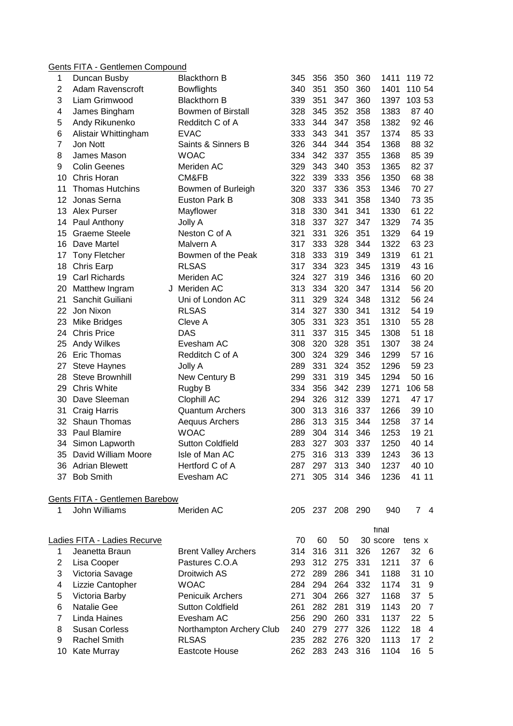## Gents FITA - Gentlemen Compound

| 1              | Duncan Busby                       | <b>Blackthorn B</b>         | 345 | 356 | 350             | 360 | 1411     | 119 72 |                |
|----------------|------------------------------------|-----------------------------|-----|-----|-----------------|-----|----------|--------|----------------|
| $\overline{2}$ | <b>Adam Ravenscroft</b>            | <b>Bowflights</b>           | 340 | 351 | 350             | 360 | 1401     | 110 54 |                |
| 3              | Liam Grimwood                      | <b>Blackthorn B</b>         | 339 | 351 | 347             | 360 | 1397     | 103 53 |                |
| 4              | James Bingham                      | <b>Bowmen of Birstall</b>   | 328 | 345 | 352             | 358 | 1383     | 87 40  |                |
| 5              | Andy Rikunenko                     | Redditch C of A             | 333 | 344 | 347             | 358 | 1382     | 92 46  |                |
| 6              | Alistair Whittingham               | <b>EVAC</b>                 | 333 | 343 | 341             | 357 | 1374     | 85 33  |                |
| 7              | Jon Nott                           | Saints & Sinners B          | 326 | 344 | 344             | 354 | 1368     | 88 32  |                |
| 8              | James Mason                        | <b>WOAC</b>                 | 334 | 342 | 337             | 355 | 1368     | 85 39  |                |
| 9              | <b>Colin Geenes</b>                | Meriden AC                  | 329 | 343 | 340             | 353 | 1365     | 82 37  |                |
| 10             | Chris Horan                        | CM&FB                       | 322 | 339 | 333             | 356 | 1350     | 68 38  |                |
| 11             | <b>Thomas Hutchins</b>             | Bowmen of Burleigh          | 320 | 337 | 336             | 353 | 1346     | 70 27  |                |
| 12             | Jonas Serna                        | Euston Park B               | 308 | 333 | 341             | 358 | 1340     | 73 35  |                |
| 13             | Alex Purser                        | Mayflower                   | 318 | 330 | 341             | 341 | 1330     | 61 22  |                |
| 14             | Paul Anthony                       | Jolly A                     | 318 | 337 | 327             | 347 | 1329     | 74 35  |                |
| 15             | <b>Graeme Steele</b>               | Neston C of A               | 321 | 331 | 326             | 351 | 1329     | 64 19  |                |
| 16             | Dave Martel                        | Malvern A                   | 317 | 333 | 328             | 344 | 1322     | 63 23  |                |
| 17             | <b>Tony Fletcher</b>               | Bowmen of the Peak          | 318 | 333 | 319             | 349 | 1319     | 61 21  |                |
| 18             | Chris Earp                         | <b>RLSAS</b>                | 317 | 334 | 323             | 345 | 1319     | 43 16  |                |
| 19             | <b>Carl Richards</b>               | Meriden AC                  | 324 | 327 | 319             | 346 | 1316     | 60 20  |                |
|                |                                    | J Meriden AC                | 313 | 334 | 320             | 347 | 1314     | 56 20  |                |
| 20<br>21       | Matthew Ingram<br>Sanchit Guiliani | Uni of London AC            | 311 | 329 | 324             | 348 | 1312     | 56 24  |                |
|                |                                    |                             |     | 327 | 330             | 341 |          | 54 19  |                |
| 22             | Jon Nixon                          | <b>RLSAS</b>                | 314 |     |                 |     | 1312     |        |                |
| 23             | Mike Bridges                       | Cleve A                     | 305 | 331 | 323             | 351 | 1310     | 55 28  |                |
| 24             | <b>Chris Price</b>                 | <b>DAS</b>                  | 311 | 337 | 315             | 345 | 1308     | 51 18  |                |
| 25             | Andy Wilkes                        | Evesham AC                  | 308 | 320 | 328             | 351 | 1307     | 38 24  |                |
| 26             | <b>Eric Thomas</b>                 | Redditch C of A             | 300 | 324 | 329             | 346 | 1299     | 57 16  |                |
| 27             | <b>Steve Haynes</b>                | Jolly A                     | 289 | 331 | 324             | 352 | 1296     | 59 23  |                |
| 28             | <b>Steve Brownhill</b>             | New Century B               | 299 | 331 | 319             | 345 | 1294     | 50 16  |                |
| 29             | Chris White                        | Rugby B                     | 334 | 356 | 342             | 239 | 1271     | 106 58 |                |
| 30             | Dave Sleeman                       | Clophill AC                 | 294 | 326 | 312             | 339 | 1271     | 47 17  |                |
| 31             | Craig Harris                       | <b>Quantum Archers</b>      | 300 | 313 | 316             | 337 | 1266     | 39 10  |                |
| 32             | Shaun Thomas                       | Aequus Archers              | 286 | 313 | 315             | 344 | 1258     | 37 14  |                |
| 33             | <b>Paul Blamire</b>                | <b>WOAC</b>                 | 289 | 304 | 314             | 346 | 1253     | 19 21  |                |
| 34             | Simon Lapworth                     | <b>Sutton Coldfield</b>     | 283 | 327 | 303             | 337 | 1250     | 40 14  |                |
| 35             | David William Moore                | Isle of Man AC              | 275 | 316 | 313             | 339 | 1243     | 36 13  |                |
|                | 36 Adrian Blewett                  | Hertford C of A             | 287 | 297 | 313             | 340 | 1237     | 40 10  |                |
|                | 37 Bob Smith                       | Evesham AC                  | 271 | 305 | 314             | 346 | 1236     | 41 11  |                |
|                | Gents FITA - Gentlemen Barebow     |                             |     |     |                 |     |          |        |                |
| 1              | John Williams                      | Meriden AC                  |     |     | 205 237 208 290 |     | 940      | 74     |                |
|                |                                    |                             |     |     |                 |     | tinal    |        |                |
|                | Ladies FITA - Ladies Recurve       |                             | 70  | 60  | 50              |     | 30 score | tens x |                |
| $\mathbf 1$    | Jeanetta Braun                     | <b>Brent Valley Archers</b> | 314 | 316 | 311             | 326 | 1267     | 32 6   |                |
| $\mathbf{2}$   | Lisa Cooper                        | Pastures C.O.A              | 293 | 312 | 275             | 331 | 1211     | 37 6   |                |
| 3              | Victoria Savage                    | Droitwich AS                | 272 | 289 | 286             | 341 | 1188     | 31 10  |                |
| 4              | Lizzie Cantopher                   | <b>WOAC</b>                 | 284 | 294 | 264             | 332 | 1174     | 31     | - 9            |
| 5              | Victoria Barby                     | Penicuik Archers            | 271 | 304 | 266             | 327 | 1168     | 37     | 5              |
| 6              | Natalie Gee                        | <b>Sutton Coldfield</b>     | 261 | 282 | 281             | 319 | 1143     | 20     | $\overline{7}$ |
| $\overline{7}$ | Linda Haines                       | Evesham AC                  | 256 | 290 | 260             | 331 | 1137     | 22     | 5              |
| 8              | <b>Susan Corless</b>               | Northampton Archery Club    | 240 | 279 | 277             | 326 | 1122     | 18     | $\overline{4}$ |
| 9              | Rachel Smith                       | <b>RLSAS</b>                | 235 | 282 | 276             | 320 | 1113     | 17     | $\overline{2}$ |
|                | 10 Kate Murray                     | Eastcote House              | 262 |     | 283 243 316     |     | 1104     | 16     | $-5$           |
|                |                                    |                             |     |     |                 |     |          |        |                |